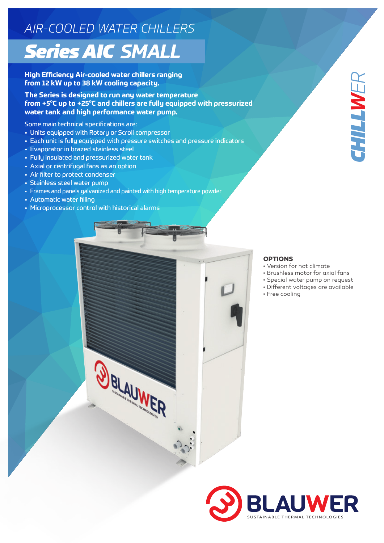## *AIR-COOLED WATER CHILLERS Series AIC SMALL*

**High Efficiency Air-cooled water chillers ranging from 12 kW up to 38 kW cooling capacity.**

**The Series is designed to run any water temperature from +5°C up to +25°C and chillers are fully equipped with pressurized water tank and high performance water pump.**

Some main technical specifications are:

- Units equipped with Rotary or Scroll compressor
- Each unit is fully equipped with pressure switches and pressure indicators
- Evaporator in brazed stainless steel
- Fully insulated and pressurized water tank
- Axial or centrifugal fans as an option
- Air filter to protect condenser
- Stainless steel water pump
- Frames and panels galvanized and painted with high temperature powder
- Automatic water filling
- Microprocessor control with historical alarms



## **OPTIONS**

- Version for hot climate
- Brushless motor for axial fans
- Special water pump on request
- Different voltages are available
- Free cooling



*CHILL WER*